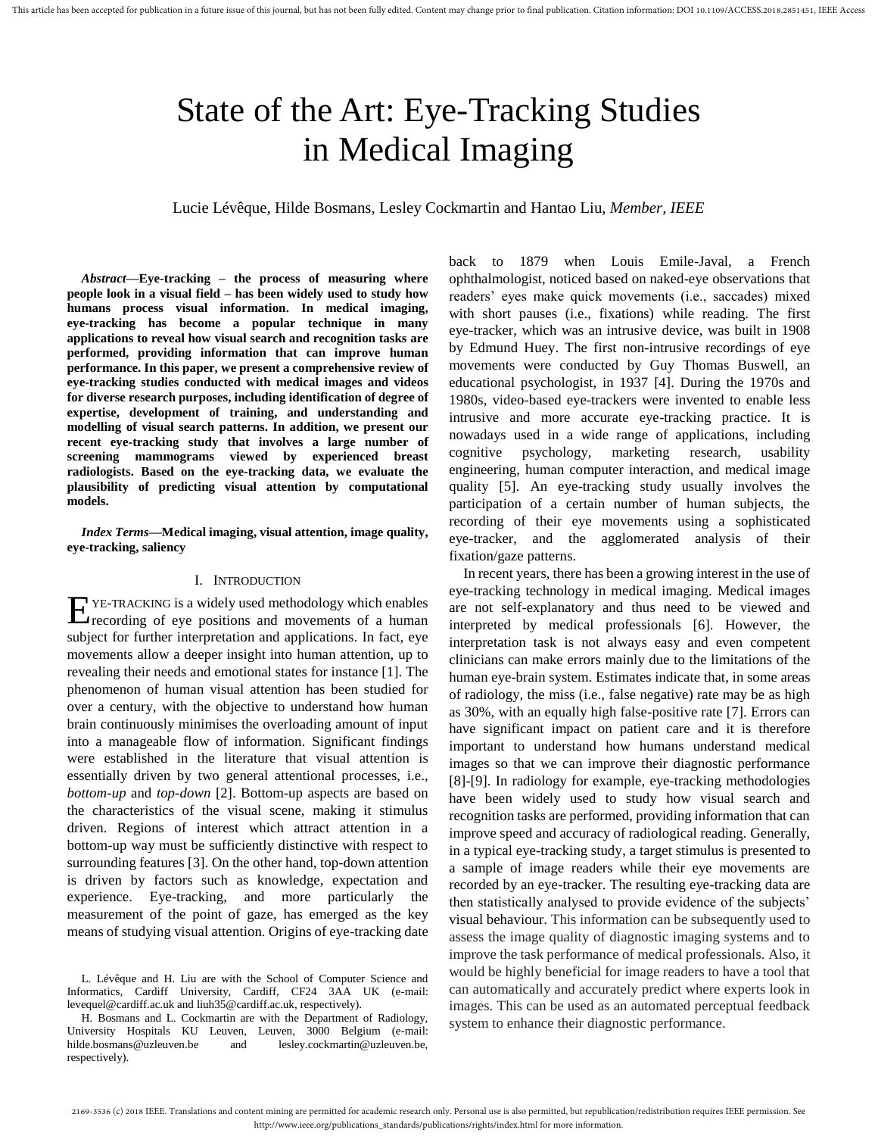# State of the Art: Eye-Tracking Studies in Medical Imaging

Lucie Lévêque, Hilde Bosmans, Lesley Cockmartin and Hantao Liu, *Member, IEEE*

*Abstract***—Eye-tracking – the process of measuring where people look in a visual field – has been widely used to study how humans process visual information. In medical imaging, eye-tracking has become a popular technique in many applications to reveal how visual search and recognition tasks are performed, providing information that can improve human performance. In this paper, we present a comprehensive review of eye-tracking studies conducted with medical images and videos for diverse research purposes, including identification of degree of expertise, development of training, and understanding and modelling of visual search patterns. In addition, we present our recent eye-tracking study that involves a large number of screening mammograms viewed by experienced breast radiologists. Based on the eye-tracking data, we evaluate the plausibility of predicting visual attention by computational models.**

*Index Terms***—Medical imaging, visual attention, image quality, eye-tracking, saliency**

#### I. INTRODUCTION

YE-TRACKING is a widely used methodology which enables EXE-TRACKING is a widely used methodology which enables<br>Frecording of eye positions and movements of a human subject for further interpretation and applications. In fact, eye movements allow a deeper insight into human attention, up to revealing their needs and emotional states for instance [1]. The phenomenon of human visual attention has been studied for over a century, with the objective to understand how human brain continuously minimises the overloading amount of input into a manageable flow of information. Significant findings were established in the literature that visual attention is essentially driven by two general attentional processes, i.e., *bottom-up* and *top-down* [2]. Bottom-up aspects are based on the characteristics of the visual scene, making it stimulus driven. Regions of interest which attract attention in a bottom-up way must be sufficiently distinctive with respect to surrounding features [3]. On the other hand, top-down attention is driven by factors such as knowledge, expectation and experience. Eye-tracking, and more particularly the measurement of the point of gaze, has emerged as the key means of studying visual attention. Origins of eye-tracking date

back to 1879 when Louis Emile-Javal, a French ophthalmologist, noticed based on naked-eye observations that readers' eyes make quick movements (i.e., saccades) mixed with short pauses (i.e., fixations) while reading. The first eye-tracker, which was an intrusive device, was built in 1908 by Edmund Huey. The first non-intrusive recordings of eye movements were conducted by Guy Thomas Buswell, an educational psychologist, in 1937 [4]. During the 1970s and 1980s, video-based eye-trackers were invented to enable less intrusive and more accurate eye-tracking practice. It is nowadays used in a wide range of applications, including cognitive psychology, marketing research, usability engineering, human computer interaction, and medical image quality [5]. An eye-tracking study usually involves the participation of a certain number of human subjects, the recording of their eye movements using a sophisticated eye-tracker, and the agglomerated analysis of their fixation/gaze patterns.

In recent years, there has been a growing interest in the use of eye-tracking technology in medical imaging. Medical images are not self-explanatory and thus need to be viewed and interpreted by medical professionals [6]. However, the interpretation task is not always easy and even competent clinicians can make errors mainly due to the limitations of the human eye-brain system. Estimates indicate that, in some areas of radiology, the miss (i.e., false negative) rate may be as high as 30%, with an equally high false-positive rate [7]. Errors can have significant impact on patient care and it is therefore important to understand how humans understand medical images so that we can improve their diagnostic performance [8]-[9]. In radiology for example, eye-tracking methodologies have been widely used to study how visual search and recognition tasks are performed, providing information that can improve speed and accuracy of radiological reading. Generally, in a typical eye-tracking study, a target stimulus is presented to a sample of image readers while their eye movements are recorded by an eye-tracker. The resulting eye-tracking data are then statistically analysed to provide evidence of the subjects' visual behaviour. This information can be subsequently used to assess the image quality of diagnostic imaging systems and to improve the task performance of medical professionals. Also, it would be highly beneficial for image readers to have a tool that can automatically and accurately predict where experts look in images. This can be used as an automated perceptual feedback system to enhance their diagnostic performance.

L. Lévêque and H. Liu are with the School of Computer Science and Informatics, Cardiff University, Cardiff, CF24 3AA UK (e-mail: levequel@cardiff.ac.uk and liuh35@cardiff.ac.uk, respectively).

H. Bosmans and L. Cockmartin are with the Department of Radiology, University Hospitals KU Leuven, Leuven, 3000 Belgium (e-mail: hilde.bosmans@uzleuven.be and lesley.cockmartin@uzleuven.be, respectively).

<sup>2169-3536 (</sup>c) 2018 IEEE. Translations and content mining are permitted for academic research only. Personal use is also permitted, but republication/redistribution requires IEEE permission. See http://www.ieee.org/publications\_standards/publications/rights/index.html for more information.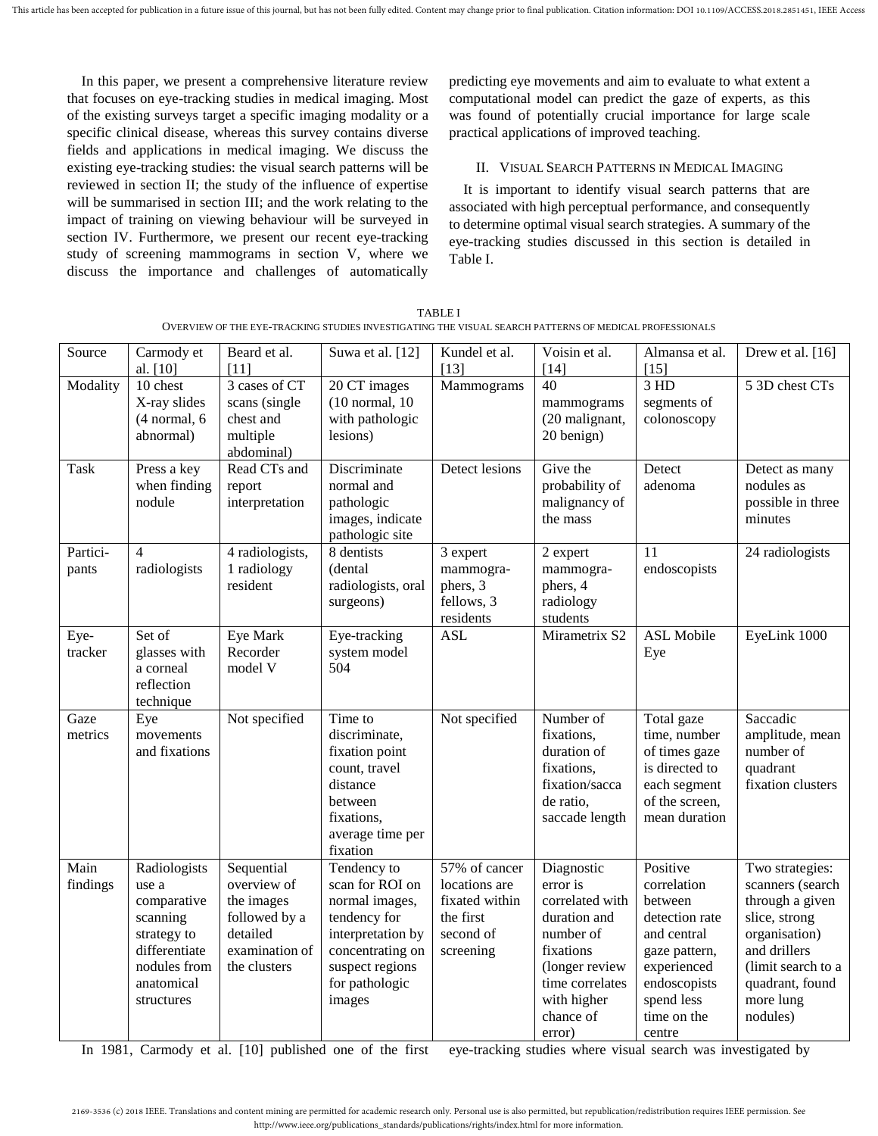In this paper, we present a comprehensive literature review that focuses on eye-tracking studies in medical imaging. Most of the existing surveys target a specific imaging modality or a specific clinical disease, whereas this survey contains diverse fields and applications in medical imaging. We discuss the existing eye-tracking studies: the visual search patterns will be reviewed in section II; the study of the influence of expertise will be summarised in section III; and the work relating to the impact of training on viewing behaviour will be surveyed in section IV. Furthermore, we present our recent eye-tracking study of screening mammograms in section V, where we discuss the importance and challenges of automatically

predicting eye movements and aim to evaluate to what extent a computational model can predict the gaze of experts, as this was found of potentially crucial importance for large scale practical applications of improved teaching.

### II. VISUAL SEARCH PATTERNS IN MEDICAL IMAGING

It is important to identify visual search patterns that are associated with high perceptual performance, and consequently to determine optimal visual search strategies. A summary of the eye-tracking studies discussed in this section is detailed in Table I.

| <b>TABLEI</b>                                                                                          |
|--------------------------------------------------------------------------------------------------------|
| OVERVIEW OF THE EYE-TRACKING STUDIES INVESTIGATING THE VISUAL SEARCH PATTERNS OF MEDICAL PROFESSIONALS |

| Source            | Carmody et<br>al. [10]                                                                                                       | Beard et al.<br>$[11]$                                                                                 | Suwa et al. [12]                                                                                                                                         | Kundel et al.<br>$[13]$                                                                 | Voisin et al.<br>$[14]$                                                                                                                                        | Almansa et al.<br>$[15]$                                                                                                                                   | Drew et al. [16]                                                                                                                                                           |
|-------------------|------------------------------------------------------------------------------------------------------------------------------|--------------------------------------------------------------------------------------------------------|----------------------------------------------------------------------------------------------------------------------------------------------------------|-----------------------------------------------------------------------------------------|----------------------------------------------------------------------------------------------------------------------------------------------------------------|------------------------------------------------------------------------------------------------------------------------------------------------------------|----------------------------------------------------------------------------------------------------------------------------------------------------------------------------|
| Modality          | 10 chest<br>X-ray slides<br>$(4$ normal, $6$<br>abnormal)                                                                    | 3 cases of CT<br>scans (single<br>chest and<br>multiple<br>abdominal)                                  | 20 CT images<br>$(10$ normal, $10$<br>with pathologic<br>lesions)                                                                                        | Mammograms                                                                              | $\overline{40}$<br>mammograms<br>(20 malignant,<br>20 benign)                                                                                                  | 3 HD<br>segments of<br>colonoscopy                                                                                                                         | 5 3D chest CTs                                                                                                                                                             |
| <b>Task</b>       | Press a key<br>when finding<br>nodule                                                                                        | Read CTs and<br>report<br>interpretation                                                               | Discriminate<br>normal and<br>pathologic<br>images, indicate<br>pathologic site                                                                          | Detect lesions                                                                          | Give the<br>probability of<br>malignancy of<br>the mass                                                                                                        | Detect<br>adenoma                                                                                                                                          | Detect as many<br>nodules as<br>possible in three<br>minutes                                                                                                               |
| Partici-<br>pants | $\overline{\mathcal{L}}$<br>radiologists                                                                                     | 4 radiologists,<br>1 radiology<br>resident                                                             | 8 dentists<br>(dental<br>radiologists, oral<br>surgeons)                                                                                                 | 3 expert<br>mammogra-<br>phers, 3<br>fellows, 3<br>residents                            | 2 expert<br>mammogra-<br>phers, 4<br>radiology<br>students                                                                                                     | 11<br>endoscopists                                                                                                                                         | 24 radiologists                                                                                                                                                            |
| Eye-<br>tracker   | Set of<br>glasses with<br>a corneal<br>reflection<br>technique                                                               | Eye Mark<br>Recorder<br>model V                                                                        | Eye-tracking<br>system model<br>504                                                                                                                      | <b>ASL</b>                                                                              | Mirametrix S2                                                                                                                                                  | <b>ASL Mobile</b><br>Eye                                                                                                                                   | EyeLink 1000                                                                                                                                                               |
| Gaze<br>metrics   | Eye<br>movements<br>and fixations                                                                                            | Not specified                                                                                          | Time to<br>discriminate,<br>fixation point<br>count, travel<br>distance<br>between<br>fixations,<br>average time per<br>fixation                         | Not specified                                                                           | Number of<br>fixations,<br>duration of<br>fixations,<br>fixation/sacca<br>de ratio,<br>saccade length                                                          | Total gaze<br>time, number<br>of times gaze<br>is directed to<br>each segment<br>of the screen,<br>mean duration                                           | Saccadic<br>amplitude, mean<br>number of<br>quadrant<br>fixation clusters                                                                                                  |
| Main<br>findings  | Radiologists<br>use a<br>comparative<br>scanning<br>strategy to<br>differentiate<br>nodules from<br>anatomical<br>structures | Sequential<br>overview of<br>the images<br>followed by a<br>detailed<br>examination of<br>the clusters | Tendency to<br>scan for ROI on<br>normal images,<br>tendency for<br>interpretation by<br>concentrating on<br>suspect regions<br>for pathologic<br>images | 57% of cancer<br>locations are<br>fixated within<br>the first<br>second of<br>screening | Diagnostic<br>error is<br>correlated with<br>duration and<br>number of<br>fixations<br>(longer review<br>time correlates<br>with higher<br>chance of<br>error) | Positive<br>correlation<br>between<br>detection rate<br>and central<br>gaze pattern,<br>experienced<br>endoscopists<br>spend less<br>time on the<br>centre | Two strategies:<br>scanners (search<br>through a given<br>slice, strong<br>organisation)<br>and drillers<br>(limit search to a<br>quadrant, found<br>more lung<br>nodules) |

In 1981, Carmody et al. [10] published one of the first eye-tracking studies where visual search was investigated by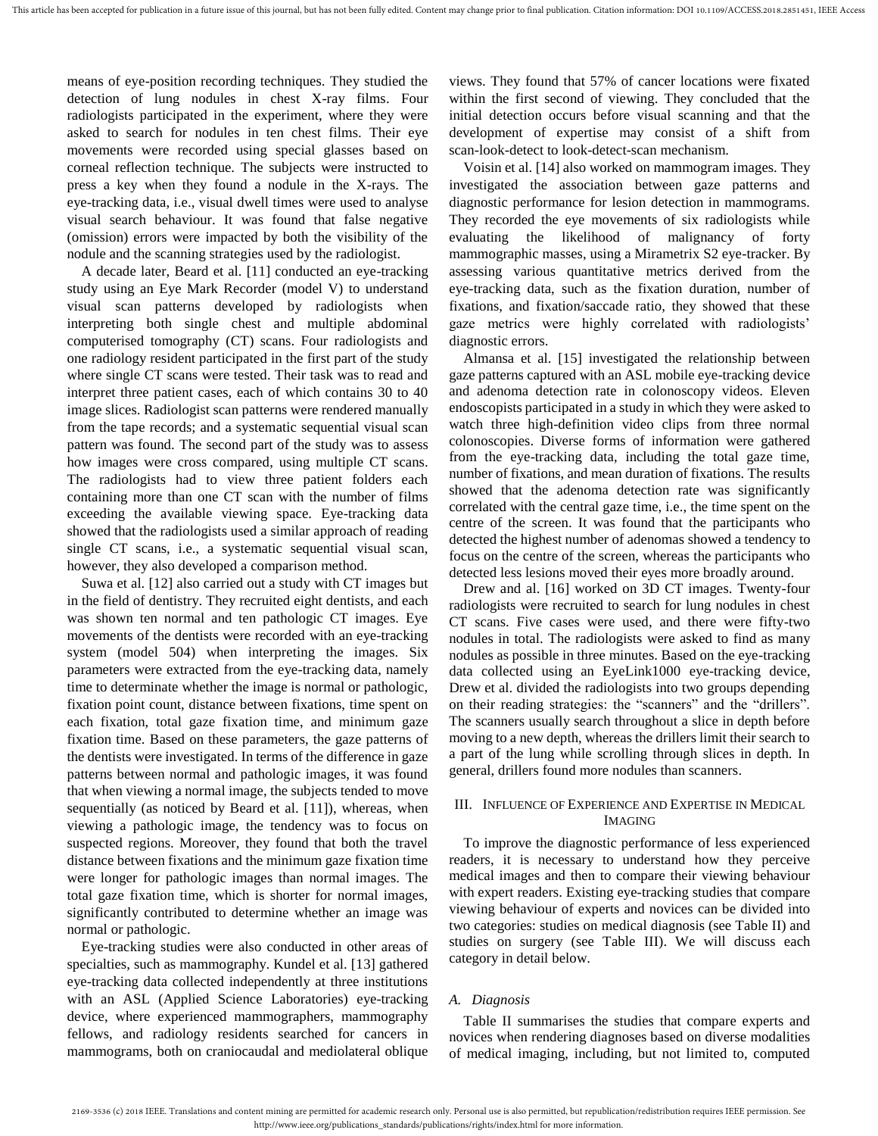means of eye-position recording techniques. They studied the detection of lung nodules in chest X-ray films. Four radiologists participated in the experiment, where they were asked to search for nodules in ten chest films. Their eye movements were recorded using special glasses based on corneal reflection technique. The subjects were instructed to press a key when they found a nodule in the X-rays. The eye-tracking data, i.e., visual dwell times were used to analyse visual search behaviour. It was found that false negative (omission) errors were impacted by both the visibility of the nodule and the scanning strategies used by the radiologist.

A decade later, Beard et al. [11] conducted an eye-tracking study using an Eye Mark Recorder (model V) to understand visual scan patterns developed by radiologists when interpreting both single chest and multiple abdominal computerised tomography (CT) scans. Four radiologists and one radiology resident participated in the first part of the study where single CT scans were tested. Their task was to read and interpret three patient cases, each of which contains 30 to 40 image slices. Radiologist scan patterns were rendered manually from the tape records; and a systematic sequential visual scan pattern was found. The second part of the study was to assess how images were cross compared, using multiple CT scans. The radiologists had to view three patient folders each containing more than one CT scan with the number of films exceeding the available viewing space. Eye-tracking data showed that the radiologists used a similar approach of reading single CT scans, i.e., a systematic sequential visual scan, however, they also developed a comparison method.

Suwa et al. [12] also carried out a study with CT images but in the field of dentistry. They recruited eight dentists, and each was shown ten normal and ten pathologic CT images. Eye movements of the dentists were recorded with an eye-tracking system (model 504) when interpreting the images. Six parameters were extracted from the eye-tracking data, namely time to determinate whether the image is normal or pathologic, fixation point count, distance between fixations, time spent on each fixation, total gaze fixation time, and minimum gaze fixation time. Based on these parameters, the gaze patterns of the dentists were investigated. In terms of the difference in gaze patterns between normal and pathologic images, it was found that when viewing a normal image, the subjects tended to move sequentially (as noticed by Beard et al. [11]), whereas, when viewing a pathologic image, the tendency was to focus on suspected regions. Moreover, they found that both the travel distance between fixations and the minimum gaze fixation time were longer for pathologic images than normal images. The total gaze fixation time, which is shorter for normal images, significantly contributed to determine whether an image was normal or pathologic.

Eye-tracking studies were also conducted in other areas of specialties, such as mammography. Kundel et al. [13] gathered eye-tracking data collected independently at three institutions with an ASL (Applied Science Laboratories) eye-tracking device, where experienced mammographers, mammography fellows, and radiology residents searched for cancers in mammograms, both on craniocaudal and mediolateral oblique

views. They found that 57% of cancer locations were fixated within the first second of viewing. They concluded that the initial detection occurs before visual scanning and that the development of expertise may consist of a shift from scan-look-detect to look-detect-scan mechanism.

Voisin et al. [14] also worked on mammogram images. They investigated the association between gaze patterns and diagnostic performance for lesion detection in mammograms. They recorded the eye movements of six radiologists while evaluating the likelihood of malignancy of forty mammographic masses, using a Mirametrix S2 eye-tracker. By assessing various quantitative metrics derived from the eye-tracking data, such as the fixation duration, number of fixations, and fixation/saccade ratio, they showed that these gaze metrics were highly correlated with radiologists' diagnostic errors.

Almansa et al. [15] investigated the relationship between gaze patterns captured with an ASL mobile eye-tracking device and adenoma detection rate in colonoscopy videos. Eleven endoscopists participated in a study in which they were asked to watch three high-definition video clips from three normal colonoscopies. Diverse forms of information were gathered from the eye-tracking data, including the total gaze time, number of fixations, and mean duration of fixations. The results showed that the adenoma detection rate was significantly correlated with the central gaze time, i.e., the time spent on the centre of the screen. It was found that the participants who detected the highest number of adenomas showed a tendency to focus on the centre of the screen, whereas the participants who detected less lesions moved their eyes more broadly around.

Drew and al. [16] worked on 3D CT images. Twenty-four radiologists were recruited to search for lung nodules in chest CT scans. Five cases were used, and there were fifty-two nodules in total. The radiologists were asked to find as many nodules as possible in three minutes. Based on the eye-tracking data collected using an EyeLink1000 eye-tracking device, Drew et al. divided the radiologists into two groups depending on their reading strategies: the "scanners" and the "drillers". The scanners usually search throughout a slice in depth before moving to a new depth, whereas the drillers limit their search to a part of the lung while scrolling through slices in depth. In general, drillers found more nodules than scanners.

## III. INFLUENCE OF EXPERIENCE AND EXPERTISE IN MEDICAL IMAGING

To improve the diagnostic performance of less experienced readers, it is necessary to understand how they perceive medical images and then to compare their viewing behaviour with expert readers. Existing eye-tracking studies that compare viewing behaviour of experts and novices can be divided into two categories: studies on medical diagnosis (see Table II) and studies on surgery (see Table III). We will discuss each category in detail below.

#### *A. Diagnosis*

Table II summarises the studies that compare experts and novices when rendering diagnoses based on diverse modalities of medical imaging, including, but not limited to, computed

<sup>2169-3536 (</sup>c) 2018 IEEE. Translations and content mining are permitted for academic research only. Personal use is also permitted, but republication/redistribution requires IEEE permission. See http://www.ieee.org/publications\_standards/publications/rights/index.html for more information.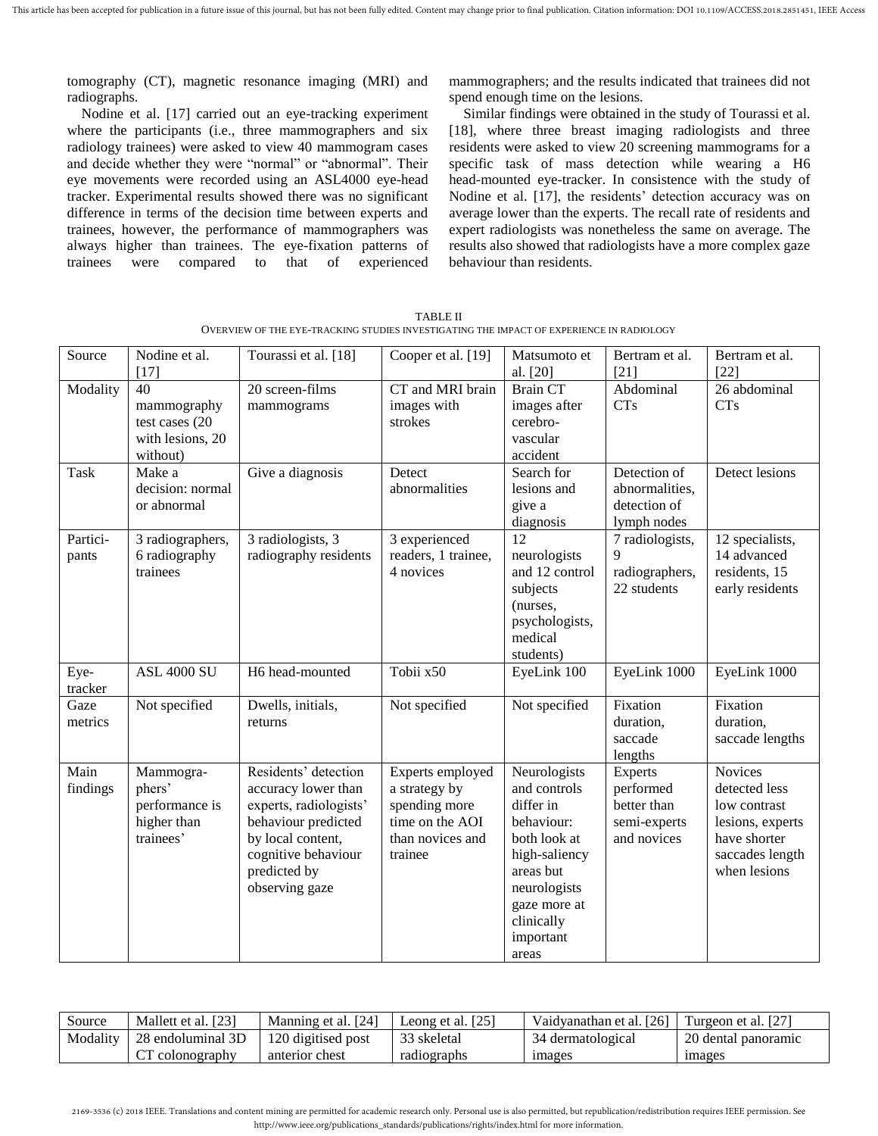tomography (CT), magnetic resonance imaging (MRI) and radiographs.

Nodine et al. [17] carried out an eye-tracking experiment where the participants (i.e., three mammographers and six radiology trainees) were asked to view 40 mammogram cases and decide whether they were "normal" or "abnormal". Their eye movements were recorded using an ASL4000 eye-head tracker. Experimental results showed there was no significant difference in terms of the decision time between experts and trainees, however, the performance of mammographers was always higher than trainees. The eye-fixation patterns of trainees were compared to that of experienced mammographers; and the results indicated that trainees did not spend enough time on the lesions.

Similar findings were obtained in the study of Tourassi et al. [18], where three breast imaging radiologists and three residents were asked to view 20 screening mammograms for a specific task of mass detection while wearing a H6 head-mounted eye-tracker. In consistence with the study of Nodine et al. [17], the residents' detection accuracy was on average lower than the experts. The recall rate of residents and expert radiologists was nonetheless the same on average. The results also showed that radiologists have a more complex gaze behaviour than residents.

| Source            | Nodine et al.<br>[17]                                               | Tourassi et al. [18]                                                                                                                                                       | Cooper et al. [19]                                                                                   | Matsumoto et<br>al. [20]                                                                                                                                                  | Bertram et al.<br>[21]                                             | Bertram et al.<br>[22]                                                                                                 |
|-------------------|---------------------------------------------------------------------|----------------------------------------------------------------------------------------------------------------------------------------------------------------------------|------------------------------------------------------------------------------------------------------|---------------------------------------------------------------------------------------------------------------------------------------------------------------------------|--------------------------------------------------------------------|------------------------------------------------------------------------------------------------------------------------|
| Modality          | 40<br>mammography<br>test cases (20<br>with lesions, 20<br>without) | 20 screen-films<br>mammograms                                                                                                                                              | CT and MRI brain<br>images with<br>strokes                                                           | <b>Brain CT</b><br>images after<br>cerebro-<br>vascular<br>accident                                                                                                       | Abdominal<br><b>CTs</b>                                            | 26 abdominal<br><b>CTs</b>                                                                                             |
| Task              | Make a<br>decision: normal<br>or abnormal                           | Give a diagnosis                                                                                                                                                           | Detect<br>abnormalities                                                                              | Search for<br>lesions and<br>give a<br>diagnosis                                                                                                                          | Detection of<br>abnormalities,<br>detection of<br>lymph nodes      | Detect lesions                                                                                                         |
| Partici-<br>pants | 3 radiographers,<br>6 radiography<br>trainees                       | 3 radiologists, 3<br>radiography residents                                                                                                                                 | 3 experienced<br>readers, 1 trainee,<br>4 novices                                                    | 12<br>neurologists<br>and 12 control<br>subjects<br>(nurses,<br>psychologists,<br>medical<br>students)                                                                    | 7 radiologists,<br>9<br>radiographers,<br>22 students              | 12 specialists,<br>14 advanced<br>residents, 15<br>early residents                                                     |
| Eye-<br>tracker   | <b>ASL 4000 SU</b>                                                  | H6 head-mounted                                                                                                                                                            | Tobii x50                                                                                            | EyeLink 100                                                                                                                                                               | EyeLink 1000                                                       | EyeLink 1000                                                                                                           |
| Gaze<br>metrics   | Not specified                                                       | Dwells, initials,<br>returns                                                                                                                                               | Not specified                                                                                        | Not specified                                                                                                                                                             | Fixation<br>duration,<br>saccade<br>lengths                        | Fixation<br>duration,<br>saccade lengths                                                                               |
| Main<br>findings  | Mammogra-<br>phers'<br>performance is<br>higher than<br>trainees'   | Residents' detection<br>accuracy lower than<br>experts, radiologists'<br>behaviour predicted<br>by local content,<br>cognitive behaviour<br>predicted by<br>observing gaze | Experts employed<br>a strategy by<br>spending more<br>time on the AOI<br>than novices and<br>trainee | Neurologists<br>and controls<br>differ in<br>behaviour:<br>both look at<br>high-saliency<br>areas but<br>neurologists<br>gaze more at<br>clinically<br>important<br>areas | Experts<br>performed<br>better than<br>semi-experts<br>and novices | <b>Novices</b><br>detected less<br>low contrast<br>lesions, experts<br>have shorter<br>saccades length<br>when lesions |

TABLE II OVERVIEW OF THE EYE-TRACKING STUDIES INVESTIGATING THE IMPACT OF EXPERIENCE IN RADIOLOGY

| Source   | Mallett et al. [23] | Manning et al. [24] | Leong et al. [25] | Vaidvanathan et al. [26] | Turgeon et al. [27] |
|----------|---------------------|---------------------|-------------------|--------------------------|---------------------|
| Modality | 28 endoluminal 3D   | 120 digitised post  | 33 skeletal       | 34 dermatological        | 20 dental panoramic |
|          | CT colonography     | anterior chest      | radiographs       | images                   | <i>images</i>       |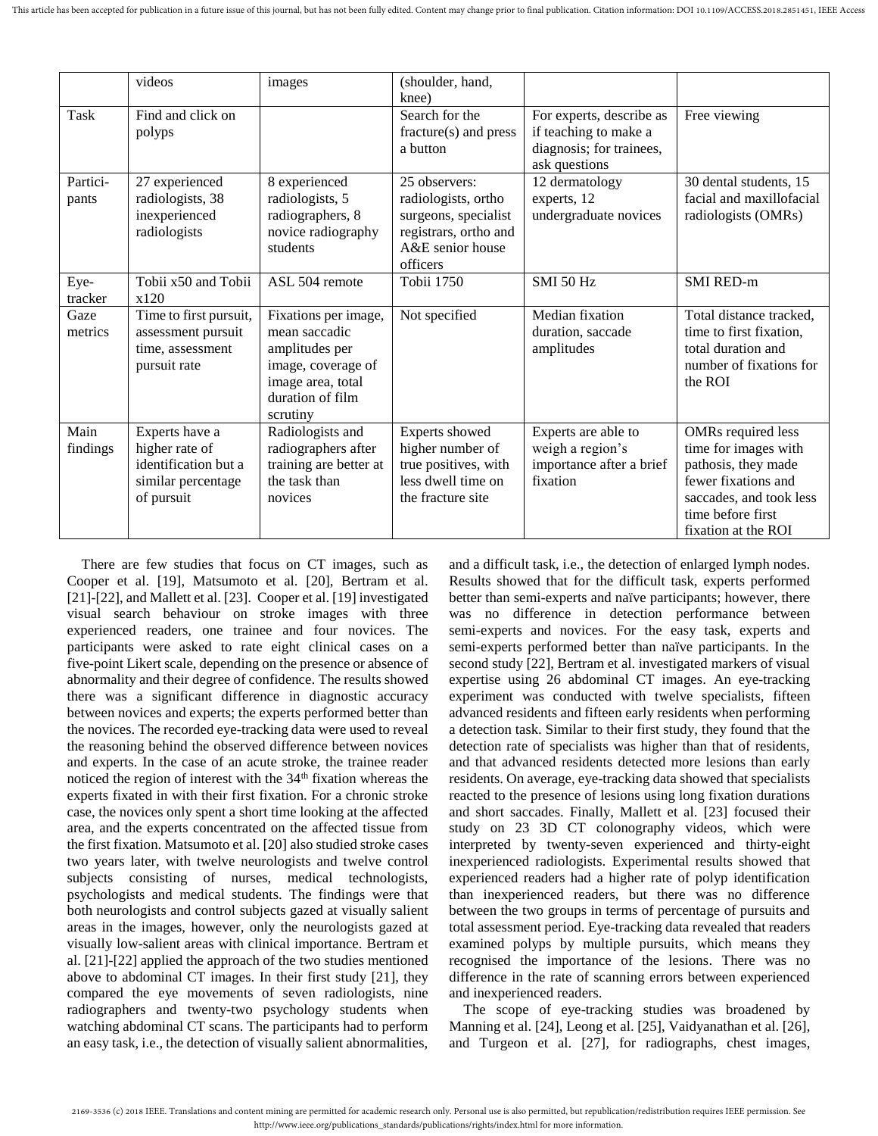|                   | videos                                                                                       | images                                                                                                                             | (shoulder, hand,<br>knee)                                                                                             |                                                                                                |                                                                                                                                                                 |
|-------------------|----------------------------------------------------------------------------------------------|------------------------------------------------------------------------------------------------------------------------------------|-----------------------------------------------------------------------------------------------------------------------|------------------------------------------------------------------------------------------------|-----------------------------------------------------------------------------------------------------------------------------------------------------------------|
| Task              | Find and click on<br>polyps                                                                  |                                                                                                                                    | Search for the<br>$fracture(s)$ and press<br>a button                                                                 | For experts, describe as<br>if teaching to make a<br>diagnosis; for trainees,<br>ask questions | Free viewing                                                                                                                                                    |
| Partici-<br>pants | 27 experienced<br>radiologists, 38<br>inexperienced<br>radiologists                          | 8 experienced<br>radiologists, 5<br>radiographers, 8<br>novice radiography<br>students                                             | 25 observers:<br>radiologists, ortho<br>surgeons, specialist<br>registrars, ortho and<br>A&E senior house<br>officers | 12 dermatology<br>experts, 12<br>undergraduate novices                                         | 30 dental students, 15<br>facial and maxillofacial<br>radiologists (OMRs)                                                                                       |
| Eye-<br>tracker   | Tobii x50 and Tobii<br>x120                                                                  | ASL 504 remote                                                                                                                     | Tobii 1750                                                                                                            | <b>SMI 50 Hz</b>                                                                               | <b>SMI RED-m</b>                                                                                                                                                |
| Gaze<br>metrics   | Time to first pursuit,<br>assessment pursuit<br>time, assessment<br>pursuit rate             | Fixations per image,<br>mean saccadic<br>amplitudes per<br>image, coverage of<br>image area, total<br>duration of film<br>scrutiny | Not specified                                                                                                         | Median fixation<br>duration, saccade<br>amplitudes                                             | Total distance tracked.<br>time to first fixation,<br>total duration and<br>number of fixations for<br>the ROI                                                  |
| Main<br>findings  | Experts have a<br>higher rate of<br>identification but a<br>similar percentage<br>of pursuit | Radiologists and<br>radiographers after<br>training are better at<br>the task than<br>novices                                      | Experts showed<br>higher number of<br>true positives, with<br>less dwell time on<br>the fracture site                 | Experts are able to<br>weigh a region's<br>importance after a brief<br>fixation                | OMRs required less<br>time for images with<br>pathosis, they made<br>fewer fixations and<br>saccades, and took less<br>time before first<br>fixation at the ROI |

There are few studies that focus on CT images, such as Cooper et al. [19], Matsumoto et al. [20], Bertram et al. [21]-[22], and Mallett et al. [23]. Cooper et al. [19] investigated visual search behaviour on stroke images with three experienced readers, one trainee and four novices. The participants were asked to rate eight clinical cases on a five-point Likert scale, depending on the presence or absence of abnormality and their degree of confidence. The results showed there was a significant difference in diagnostic accuracy between novices and experts; the experts performed better than the novices. The recorded eye-tracking data were used to reveal the reasoning behind the observed difference between novices and experts. In the case of an acute stroke, the trainee reader noticed the region of interest with the 34<sup>th</sup> fixation whereas the experts fixated in with their first fixation. For a chronic stroke case, the novices only spent a short time looking at the affected area, and the experts concentrated on the affected tissue from the first fixation. Matsumoto et al. [20] also studied stroke cases two years later, with twelve neurologists and twelve control subjects consisting of nurses, medical technologists, psychologists and medical students. The findings were that both neurologists and control subjects gazed at visually salient areas in the images, however, only the neurologists gazed at visually low-salient areas with clinical importance. Bertram et al. [21]-[22] applied the approach of the two studies mentioned above to abdominal CT images. In their first study [21], they compared the eye movements of seven radiologists, nine radiographers and twenty-two psychology students when watching abdominal CT scans. The participants had to perform an easy task, i.e., the detection of visually salient abnormalities,

and a difficult task, i.e., the detection of enlarged lymph nodes. Results showed that for the difficult task, experts performed better than semi-experts and naïve participants; however, there was no difference in detection performance between semi-experts and novices. For the easy task, experts and semi-experts performed better than naïve participants. In the second study [22], Bertram et al. investigated markers of visual expertise using 26 abdominal CT images. An eye-tracking experiment was conducted with twelve specialists, fifteen advanced residents and fifteen early residents when performing a detection task. Similar to their first study, they found that the detection rate of specialists was higher than that of residents, and that advanced residents detected more lesions than early residents. On average, eye-tracking data showed that specialists reacted to the presence of lesions using long fixation durations and short saccades. Finally, Mallett et al. [23] focused their study on 23 3D CT colonography videos, which were interpreted by twenty-seven experienced and thirty-eight inexperienced radiologists. Experimental results showed that experienced readers had a higher rate of polyp identification than inexperienced readers, but there was no difference between the two groups in terms of percentage of pursuits and total assessment period. Eye-tracking data revealed that readers examined polyps by multiple pursuits, which means they recognised the importance of the lesions. There was no difference in the rate of scanning errors between experienced and inexperienced readers.

The scope of eye-tracking studies was broadened by Manning et al. [24], Leong et al. [25], Vaidyanathan et al. [26], and Turgeon et al. [27], for radiographs, chest images,

<sup>2169-3536 (</sup>c) 2018 IEEE. Translations and content mining are permitted for academic research only. Personal use is also permitted, but republication/redistribution requires IEEE permission. See http://www.ieee.org/publications\_standards/publications/rights/index.html for more information.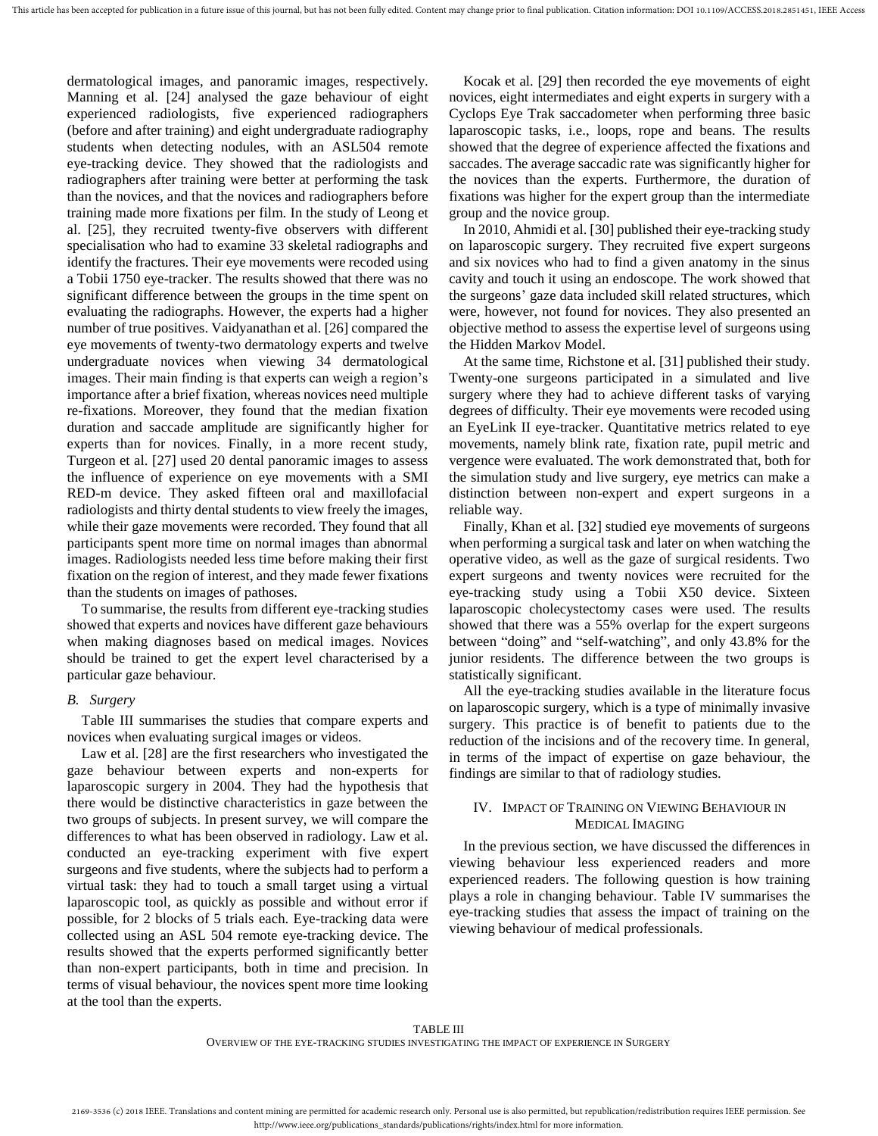dermatological images, and panoramic images, respectively. Manning et al. [24] analysed the gaze behaviour of eight experienced radiologists, five experienced radiographers (before and after training) and eight undergraduate radiography students when detecting nodules, with an ASL504 remote eye-tracking device. They showed that the radiologists and radiographers after training were better at performing the task than the novices, and that the novices and radiographers before training made more fixations per film. In the study of Leong et al. [25], they recruited twenty-five observers with different specialisation who had to examine 33 skeletal radiographs and identify the fractures. Their eye movements were recoded using a Tobii 1750 eye-tracker. The results showed that there was no significant difference between the groups in the time spent on evaluating the radiographs. However, the experts had a higher number of true positives. Vaidyanathan et al. [26] compared the eye movements of twenty-two dermatology experts and twelve undergraduate novices when viewing 34 dermatological images. Their main finding is that experts can weigh a region's importance after a brief fixation, whereas novices need multiple re-fixations. Moreover, they found that the median fixation duration and saccade amplitude are significantly higher for experts than for novices. Finally, in a more recent study, Turgeon et al. [27] used 20 dental panoramic images to assess the influence of experience on eye movements with a SMI RED-m device. They asked fifteen oral and maxillofacial radiologists and thirty dental students to view freely the images, while their gaze movements were recorded. They found that all participants spent more time on normal images than abnormal images. Radiologists needed less time before making their first fixation on the region of interest, and they made fewer fixations than the students on images of pathoses.

To summarise, the results from different eye-tracking studies showed that experts and novices have different gaze behaviours when making diagnoses based on medical images. Novices should be trained to get the expert level characterised by a particular gaze behaviour.

#### *B. Surgery*

Table III summarises the studies that compare experts and novices when evaluating surgical images or videos.

Law et al. [28] are the first researchers who investigated the gaze behaviour between experts and non-experts for laparoscopic surgery in 2004. They had the hypothesis that there would be distinctive characteristics in gaze between the two groups of subjects. In present survey, we will compare the differences to what has been observed in radiology. Law et al. conducted an eye-tracking experiment with five expert surgeons and five students, where the subjects had to perform a virtual task: they had to touch a small target using a virtual laparoscopic tool, as quickly as possible and without error if possible, for 2 blocks of 5 trials each. Eye-tracking data were collected using an ASL 504 remote eye-tracking device. The results showed that the experts performed significantly better than non-expert participants, both in time and precision. In terms of visual behaviour, the novices spent more time looking at the tool than the experts.

Kocak et al. [29] then recorded the eye movements of eight novices, eight intermediates and eight experts in surgery with a Cyclops Eye Trak saccadometer when performing three basic laparoscopic tasks, i.e., loops, rope and beans. The results showed that the degree of experience affected the fixations and saccades. The average saccadic rate was significantly higher for the novices than the experts. Furthermore, the duration of fixations was higher for the expert group than the intermediate group and the novice group.

In 2010, Ahmidi et al. [30] published their eye-tracking study on laparoscopic surgery. They recruited five expert surgeons and six novices who had to find a given anatomy in the sinus cavity and touch it using an endoscope. The work showed that the surgeons' gaze data included skill related structures, which were, however, not found for novices. They also presented an objective method to assess the expertise level of surgeons using the Hidden Markov Model.

At the same time, Richstone et al. [31] published their study. Twenty-one surgeons participated in a simulated and live surgery where they had to achieve different tasks of varying degrees of difficulty. Their eye movements were recoded using an EyeLink II eye-tracker. Quantitative metrics related to eye movements, namely blink rate, fixation rate, pupil metric and vergence were evaluated. The work demonstrated that, both for the simulation study and live surgery, eye metrics can make a distinction between non-expert and expert surgeons in a reliable way.

Finally, Khan et al. [32] studied eye movements of surgeons when performing a surgical task and later on when watching the operative video, as well as the gaze of surgical residents. Two expert surgeons and twenty novices were recruited for the eye-tracking study using a Tobii X50 device. Sixteen laparoscopic cholecystectomy cases were used. The results showed that there was a 55% overlap for the expert surgeons between "doing" and "self-watching", and only 43.8% for the junior residents. The difference between the two groups is statistically significant.

All the eye-tracking studies available in the literature focus on laparoscopic surgery, which is a type of minimally invasive surgery. This practice is of benefit to patients due to the reduction of the incisions and of the recovery time. In general, in terms of the impact of expertise on gaze behaviour, the findings are similar to that of radiology studies.

#### IV. IMPACT OF TRAINING ON VIEWING BEHAVIOUR IN MEDICAL IMAGING

In the previous section, we have discussed the differences in viewing behaviour less experienced readers and more experienced readers. The following question is how training plays a role in changing behaviour. Table IV summarises the eye-tracking studies that assess the impact of training on the viewing behaviour of medical professionals.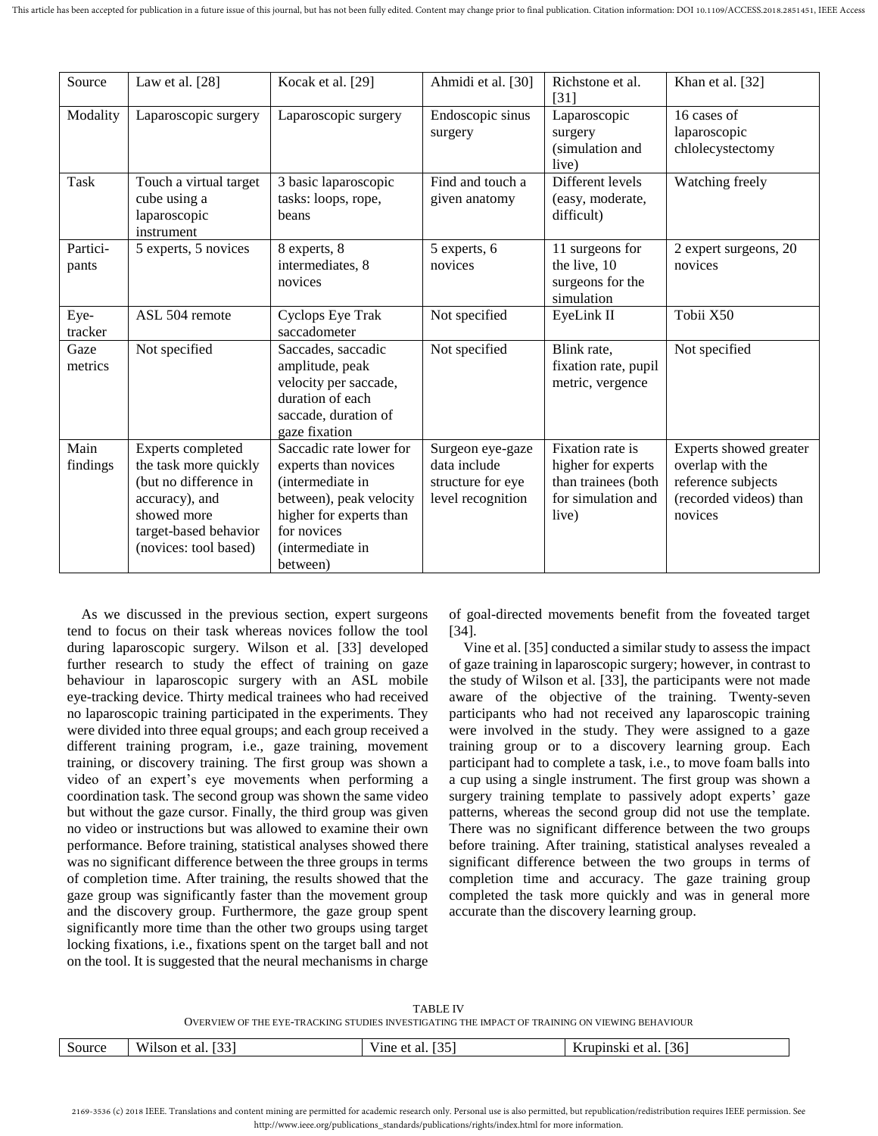| Source            | Law et al. $[28]$                                                                                                                                      | Kocak et al. [29]                                                                                                                                                        | Ahmidi et al. [30]                                                         | Richstone et al.<br>[31]                                                                     | Khan et al. [32]                                                                                      |
|-------------------|--------------------------------------------------------------------------------------------------------------------------------------------------------|--------------------------------------------------------------------------------------------------------------------------------------------------------------------------|----------------------------------------------------------------------------|----------------------------------------------------------------------------------------------|-------------------------------------------------------------------------------------------------------|
| Modality          | Laparoscopic surgery                                                                                                                                   | Laparoscopic surgery                                                                                                                                                     | Endoscopic sinus<br>surgery                                                | Laparoscopic<br>surgery<br>(simulation and<br>live)                                          | 16 cases of<br>laparoscopic<br>chlolecystectomy                                                       |
| Task              | Touch a virtual target<br>cube using a<br>laparoscopic<br>instrument                                                                                   | 3 basic laparoscopic<br>tasks: loops, rope,<br>beans                                                                                                                     | Find and touch a<br>given anatomy                                          | Different levels<br>(easy, moderate,<br>difficult)                                           | Watching freely                                                                                       |
| Partici-<br>pants | 5 experts, 5 novices                                                                                                                                   | 8 experts, 8<br>intermediates, 8<br>novices                                                                                                                              | 5 experts, 6<br>novices                                                    | 11 surgeons for<br>the live, 10<br>surgeons for the<br>simulation                            | 2 expert surgeons, 20<br>novices                                                                      |
| Eye-<br>tracker   | ASL 504 remote                                                                                                                                         | Cyclops Eye Trak<br>saccadometer                                                                                                                                         | Not specified                                                              | EyeLink II                                                                                   | Tobii X50                                                                                             |
| Gaze<br>metrics   | Not specified                                                                                                                                          | Saccades, saccadic<br>amplitude, peak<br>velocity per saccade,<br>duration of each<br>saccade, duration of<br>gaze fixation                                              | Not specified                                                              | Blink rate,<br>fixation rate, pupil<br>metric, vergence                                      | Not specified                                                                                         |
| Main<br>findings  | Experts completed<br>the task more quickly<br>(but no difference in<br>accuracy), and<br>showed more<br>target-based behavior<br>(novices: tool based) | Saccadic rate lower for<br>experts than novices<br>(intermediate in<br>between), peak velocity<br>higher for experts than<br>for novices<br>(intermediate in<br>between) | Surgeon eye-gaze<br>data include<br>structure for eye<br>level recognition | Fixation rate is<br>higher for experts<br>than trainees (both<br>for simulation and<br>live) | Experts showed greater<br>overlap with the<br>reference subjects<br>(recorded videos) than<br>novices |

As we discussed in the previous section, expert surgeons tend to focus on their task whereas novices follow the tool during laparoscopic surgery. Wilson et al. [33] developed further research to study the effect of training on gaze behaviour in laparoscopic surgery with an ASL mobile eye-tracking device. Thirty medical trainees who had received no laparoscopic training participated in the experiments. They were divided into three equal groups; and each group received a different training program, i.e., gaze training, movement training, or discovery training. The first group was shown a video of an expert's eye movements when performing a coordination task. The second group was shown the same video but without the gaze cursor. Finally, the third group was given no video or instructions but was allowed to examine their own performance. Before training, statistical analyses showed there was no significant difference between the three groups in terms of completion time. After training, the results showed that the gaze group was significantly faster than the movement group and the discovery group. Furthermore, the gaze group spent significantly more time than the other two groups using target locking fixations, i.e., fixations spent on the target ball and not on the tool. It is suggested that the neural mechanisms in charge

of goal-directed movements benefit from the foveated target [34].

Vine et al. [35] conducted a similar study to assess the impact of gaze training in laparoscopic surgery; however, in contrast to the study of Wilson et al. [33], the participants were not made aware of the objective of the training. Twenty-seven participants who had not received any laparoscopic training were involved in the study. They were assigned to a gaze training group or to a discovery learning group. Each participant had to complete a task, i.e., to move foam balls into a cup using a single instrument. The first group was shown a surgery training template to passively adopt experts' gaze patterns, whereas the second group did not use the template. There was no significant difference between the two groups before training. After training, statistical analyses revealed a significant difference between the two groups in terms of completion time and accuracy. The gaze training group completed the task more quickly and was in general more accurate than the discovery learning group.

TABLE IV OVERVIEW OF THE EYE-TRACKING STUDIES INVESTIGATING THE IMPACT OF TRAINING ON VIEWING BEHAVIOUR

| $\sim$<br>Source | TTT1<br>$\mathbf{r} \wedge \mathbf{r}$<br>A / ·<br>.1son<br>ar<br>ັ<br>$\sim$ $\sim$ $\sim$ | .<br>$AA = 1$<br>1ne<br>$\Omega$<br>$\mathbf{a}$<br>. .<br>$\cdot$ | $\sim$<br>36<br>العوادر<br>`aı<br>HISK.<br>$\sim$ |
|------------------|---------------------------------------------------------------------------------------------|--------------------------------------------------------------------|---------------------------------------------------|
|                  |                                                                                             |                                                                    |                                                   |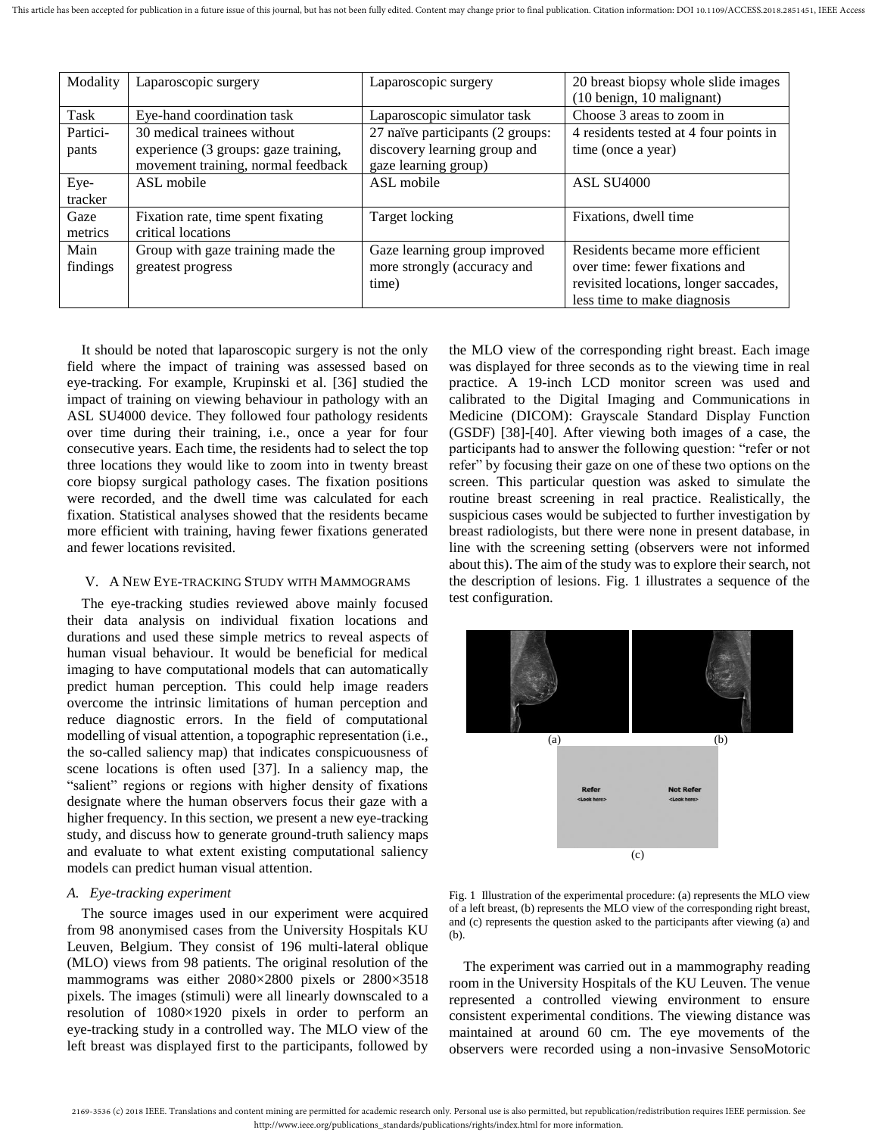| Modality | Laparoscopic surgery                 | Laparoscopic surgery             | 20 breast biopsy whole slide images<br>(10 benign, 10 malignant) |
|----------|--------------------------------------|----------------------------------|------------------------------------------------------------------|
| Task     | Eye-hand coordination task           | Laparoscopic simulator task      | Choose 3 areas to zoom in                                        |
| Partici- | 30 medical trainees without          | 27 naïve participants (2 groups: | 4 residents tested at 4 four points in                           |
| pants    | experience (3 groups: gaze training, | discovery learning group and     | time (once a year)                                               |
|          | movement training, normal feedback   | gaze learning group)             |                                                                  |
| Eye-     | ASL mobile                           | ASL mobile                       | <b>ASL SU4000</b>                                                |
| tracker  |                                      |                                  |                                                                  |
| Gaze     | Fixation rate, time spent fixating   | Target locking                   | Fixations, dwell time                                            |
| metrics  | critical locations                   |                                  |                                                                  |
| Main     | Group with gaze training made the    | Gaze learning group improved     | Residents became more efficient                                  |
| findings | greatest progress                    | more strongly (accuracy and      | over time: fewer fixations and                                   |
|          |                                      | time)                            | revisited locations, longer saccades,                            |
|          |                                      |                                  | less time to make diagnosis                                      |

It should be noted that laparoscopic surgery is not the only field where the impact of training was assessed based on eye-tracking. For example, Krupinski et al. [36] studied the impact of training on viewing behaviour in pathology with an ASL SU4000 device. They followed four pathology residents over time during their training, i.e., once a year for four consecutive years. Each time, the residents had to select the top three locations they would like to zoom into in twenty breast core biopsy surgical pathology cases. The fixation positions were recorded, and the dwell time was calculated for each fixation. Statistical analyses showed that the residents became more efficient with training, having fewer fixations generated and fewer locations revisited.

### V. A NEW EYE-TRACKING STUDY WITH MAMMOGRAMS

The eye-tracking studies reviewed above mainly focused their data analysis on individual fixation locations and durations and used these simple metrics to reveal aspects of human visual behaviour. It would be beneficial for medical imaging to have computational models that can automatically predict human perception. This could help image readers overcome the intrinsic limitations of human perception and reduce diagnostic errors. In the field of computational modelling of visual attention, a topographic representation (i.e., the so-called saliency map) that indicates conspicuousness of scene locations is often used [37]. In a saliency map, the "salient" regions or regions with higher density of fixations designate where the human observers focus their gaze with a higher frequency. In this section, we present a new eye-tracking study, and discuss how to generate ground-truth saliency maps and evaluate to what extent existing computational saliency models can predict human visual attention.

#### *A. Eye-tracking experiment*

The source images used in our experiment were acquired from 98 anonymised cases from the University Hospitals KU Leuven, Belgium. They consist of 196 multi-lateral oblique (MLO) views from 98 patients. The original resolution of the mammograms was either 2080×2800 pixels or 2800×3518 pixels. The images (stimuli) were all linearly downscaled to a resolution of 1080×1920 pixels in order to perform an eye-tracking study in a controlled way. The MLO view of the left breast was displayed first to the participants, followed by

the MLO view of the corresponding right breast. Each image was displayed for three seconds as to the viewing time in real practice. A 19-inch LCD monitor screen was used and calibrated to the Digital Imaging and Communications in Medicine (DICOM): Grayscale Standard Display Function (GSDF) [38]-[40]. After viewing both images of a case, the participants had to answer the following question: "refer or not refer" by focusing their gaze on one of these two options on the screen. This particular question was asked to simulate the routine breast screening in real practice. Realistically, the suspicious cases would be subjected to further investigation by breast radiologists, but there were none in present database, in line with the screening setting (observers were not informed about this). The aim of the study was to explore their search, not the description of lesions. Fig. 1 illustrates a sequence of the test configuration.



Fig. 1 Illustration of the experimental procedure: (a) represents the MLO view of a left breast, (b) represents the MLO view of the corresponding right breast, and (c) represents the question asked to the participants after viewing (a) and (b).

The experiment was carried out in a mammography reading room in the University Hospitals of the KU Leuven. The venue represented a controlled viewing environment to ensure consistent experimental conditions. The viewing distance was maintained at around 60 cm. The eye movements of the observers were recorded using a non-invasive SensoMotoric

<sup>2169-3536 (</sup>c) 2018 IEEE. Translations and content mining are permitted for academic research only. Personal use is also permitted, but republication/redistribution requires IEEE permission. See http://www.ieee.org/publications\_standards/publications/rights/index.html for more information.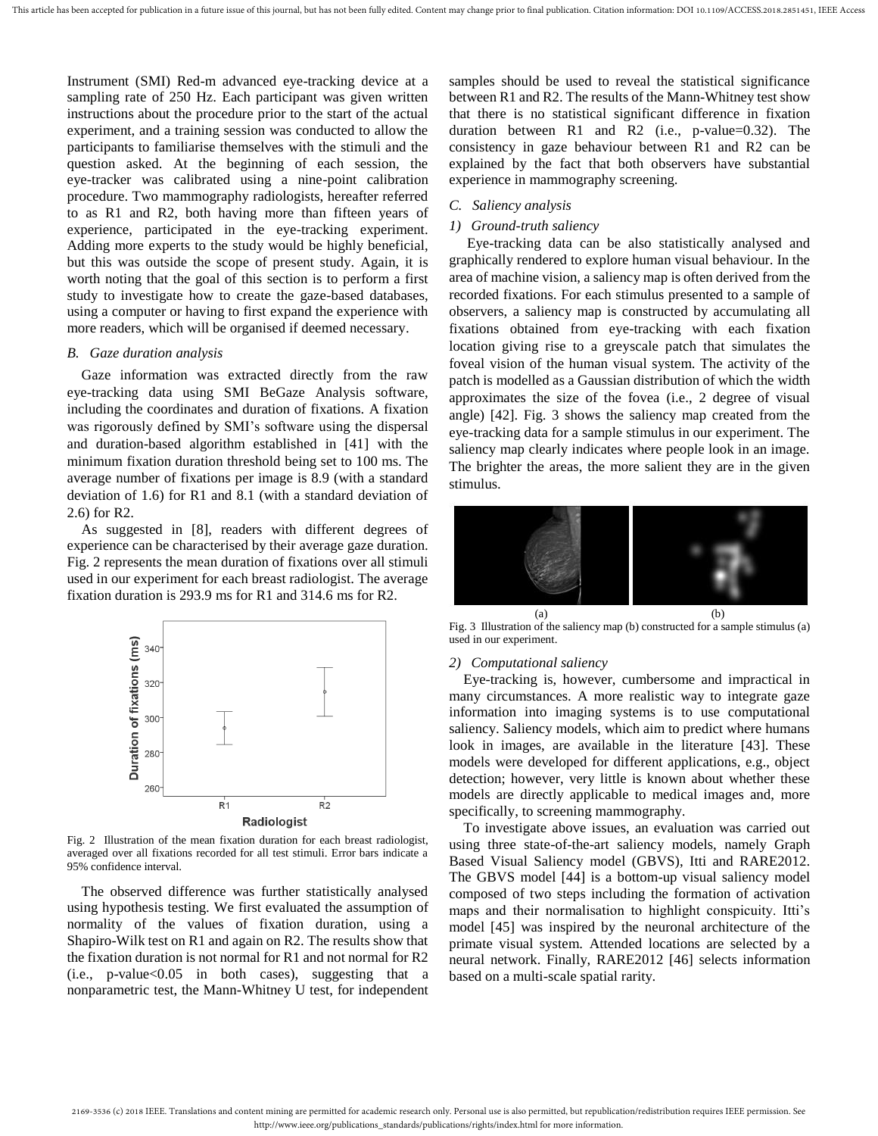Instrument (SMI) Red-m advanced eye-tracking device at a sampling rate of 250 Hz. Each participant was given written instructions about the procedure prior to the start of the actual experiment, and a training session was conducted to allow the participants to familiarise themselves with the stimuli and the question asked. At the beginning of each session, the eye-tracker was calibrated using a nine-point calibration procedure. Two mammography radiologists, hereafter referred to as R1 and R2, both having more than fifteen years of experience, participated in the eye-tracking experiment. Adding more experts to the study would be highly beneficial, but this was outside the scope of present study. Again, it is worth noting that the goal of this section is to perform a first study to investigate how to create the gaze-based databases, using a computer or having to first expand the experience with more readers, which will be organised if deemed necessary.

#### *B. Gaze duration analysis*

Gaze information was extracted directly from the raw eye-tracking data using SMI BeGaze Analysis software, including the coordinates and duration of fixations. A fixation was rigorously defined by SMI's software using the dispersal and duration-based algorithm established in [41] with the minimum fixation duration threshold being set to 100 ms. The average number of fixations per image is 8.9 (with a standard deviation of 1.6) for R1 and 8.1 (with a standard deviation of 2.6) for R2.

As suggested in [8], readers with different degrees of experience can be characterised by their average gaze duration. Fig. 2 represents the mean duration of fixations over all stimuli used in our experiment for each breast radiologist. The average fixation duration is 293.9 ms for R1 and 314.6 ms for R2.



Fig. 2 Illustration of the mean fixation duration for each breast radiologist, averaged over all fixations recorded for all test stimuli. Error bars indicate a 95% confidence interval.

The observed difference was further statistically analysed using hypothesis testing. We first evaluated the assumption of normality of the values of fixation duration, using a Shapiro-Wilk test on R1 and again on R2. The results show that the fixation duration is not normal for R1 and not normal for R2  $(i.e., p-value<0.05$  in both cases), suggesting that a nonparametric test, the Mann-Whitney U test, for independent

samples should be used to reveal the statistical significance between R1 and R2. The results of the Mann-Whitney test show that there is no statistical significant difference in fixation duration between R1 and R2 (i.e., p-value=0.32). The consistency in gaze behaviour between R1 and R2 can be explained by the fact that both observers have substantial experience in mammography screening.

#### *C. Saliency analysis*

#### *1) Ground-truth saliency*

Eye-tracking data can be also statistically analysed and graphically rendered to explore human visual behaviour. In the area of machine vision, a saliency map is often derived from the recorded fixations. For each stimulus presented to a sample of observers, a saliency map is constructed by accumulating all fixations obtained from eye-tracking with each fixation location giving rise to a greyscale patch that simulates the foveal vision of the human visual system. The activity of the patch is modelled as a Gaussian distribution of which the width approximates the size of the fovea (i.e., 2 degree of visual angle) [42]. Fig. 3 shows the saliency map created from the eye-tracking data for a sample stimulus in our experiment. The saliency map clearly indicates where people look in an image. The brighter the areas, the more salient they are in the given stimulus.



Fig. 3 Illustration of the saliency map (b) constructed for a sample stimulus (a) used in our experiment.

# *2) Computational saliency*

Eye-tracking is, however, cumbersome and impractical in many circumstances. A more realistic way to integrate gaze information into imaging systems is to use computational saliency. Saliency models, which aim to predict where humans look in images, are available in the literature [43]. These models were developed for different applications, e.g., object detection; however, very little is known about whether these models are directly applicable to medical images and, more specifically, to screening mammography.

To investigate above issues, an evaluation was carried out using three state-of-the-art saliency models, namely Graph Based Visual Saliency model (GBVS), Itti and RARE2012. The GBVS model [44] is a bottom-up visual saliency model composed of two steps including the formation of activation maps and their normalisation to highlight conspicuity. Itti's model [45] was inspired by the neuronal architecture of the primate visual system. Attended locations are selected by a neural network. Finally, RARE2012 [46] selects information based on a multi-scale spatial rarity.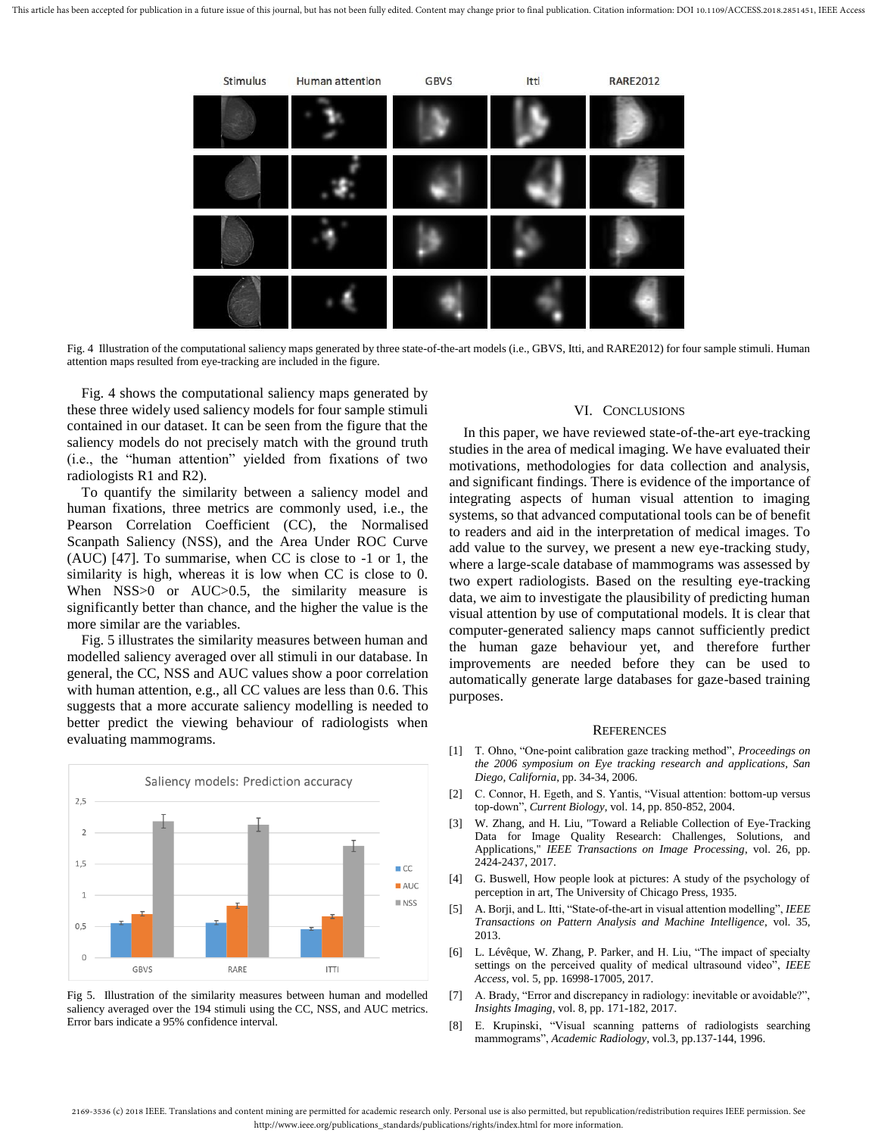

Fig. 4 Illustration of the computational saliency maps generated by three state-of-the-art models (i.e., GBVS, Itti, and RARE2012) for four sample stimuli. Human attention maps resulted from eye-tracking are included in the figure.

Fig. 4 shows the computational saliency maps generated by these three widely used saliency models for four sample stimuli contained in our dataset. It can be seen from the figure that the saliency models do not precisely match with the ground truth (i.e., the "human attention" yielded from fixations of two radiologists R1 and R2).

To quantify the similarity between a saliency model and human fixations, three metrics are commonly used, i.e., the Pearson Correlation Coefficient (CC), the Normalised Scanpath Saliency (NSS), and the Area Under ROC Curve (AUC) [47]. To summarise, when CC is close to -1 or 1, the similarity is high, whereas it is low when CC is close to 0. When NSS>0 or AUC>0.5, the similarity measure is significantly better than chance, and the higher the value is the more similar are the variables.

Fig. 5 illustrates the similarity measures between human and modelled saliency averaged over all stimuli in our database. In general, the CC, NSS and AUC values show a poor correlation with human attention, e.g., all CC values are less than 0.6. This suggests that a more accurate saliency modelling is needed to better predict the viewing behaviour of radiologists when evaluating mammograms.



Fig 5. Illustration of the similarity measures between human and modelled saliency averaged over the 194 stimuli using the CC, NSS, and AUC metrics. Error bars indicate a 95% confidence interval.

#### VI. CONCLUSIONS

In this paper, we have reviewed state-of-the-art eye-tracking studies in the area of medical imaging. We have evaluated their motivations, methodologies for data collection and analysis, and significant findings. There is evidence of the importance of integrating aspects of human visual attention to imaging systems, so that advanced computational tools can be of benefit to readers and aid in the interpretation of medical images. To add value to the survey, we present a new eye-tracking study, where a large-scale database of mammograms was assessed by two expert radiologists. Based on the resulting eye-tracking data, we aim to investigate the plausibility of predicting human visual attention by use of computational models. It is clear that computer-generated saliency maps cannot sufficiently predict the human gaze behaviour yet, and therefore further improvements are needed before they can be used to automatically generate large databases for gaze-based training purposes.

#### **REFERENCES**

- [1] T. Ohno, "One-point calibration gaze tracking method", *Proceedings on the 2006 symposium on Eye tracking research and applications, San Diego, California*, pp. 34-34, 2006.
- [2] C. Connor, H. Egeth, and S. Yantis, "Visual attention: bottom-up versus top-down", *Current Biology*, vol. 14, pp. 850-852, 2004.
- [3] W. Zhang, and H. Liu, "Toward a Reliable Collection of Eye-Tracking Data for Image Quality Research: Challenges, Solutions, and Applications," *IEEE Transactions on Image Processing*, vol. 26, pp. 2424-2437, 2017.
- [4] G. Buswell, How people look at pictures: A study of the psychology of perception in art, The University of Chicago Press, 1935.
- [5] A. Borji, and L. Itti, "State-of-the-art in visual attention modelling", *IEEE Transactions on Pattern Analysis and Machine Intelligence*, vol. 35, 2013.
- [6] L. Lévêque, W. Zhang, P. Parker, and H. Liu, "The impact of specialty settings on the perceived quality of medical ultrasound video", *IEEE Access*, vol. 5, pp. 16998-17005, 2017.
- [7] A. Brady, "Error and discrepancy in radiology: inevitable or avoidable?", *Insights Imaging*, vol. 8, pp. 171-182, 2017.
- [8] E. Krupinski, "Visual scanning patterns of radiologists searching mammograms", *Academic Radiology*, vol.3, pp.137-144, 1996.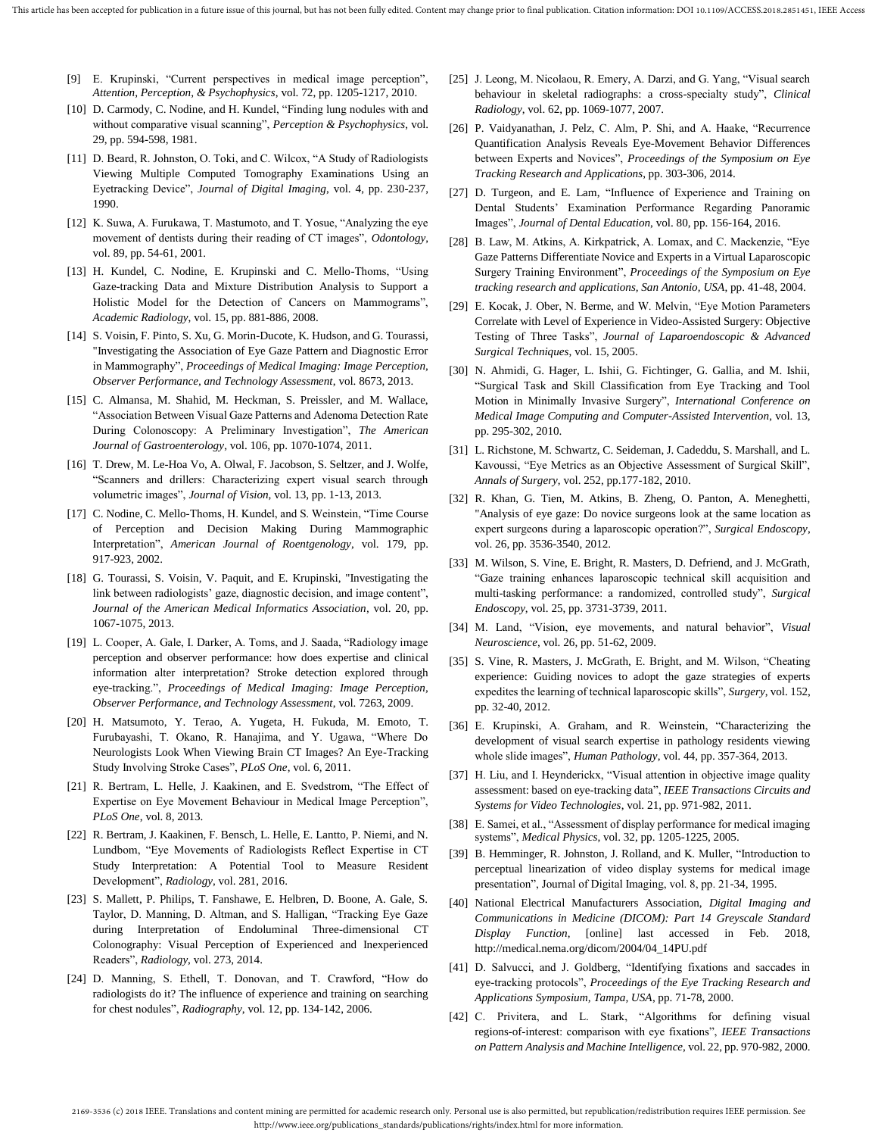- [9] E. Krupinski, "Current perspectives in medical image perception", *Attention, Perception, & Psychophysics*, vol. 72, pp. 1205-1217, 2010.
- [10] D. Carmody, C. Nodine, and H. Kundel, "Finding lung nodules with and without comparative visual scanning", *Perception & Psychophysics*, vol. 29, pp. 594-598, 1981.
- [11] D. Beard, R. Johnston, O. Toki, and C. Wilcox, "A Study of Radiologists Viewing Multiple Computed Tomography Examinations Using an Eyetracking Device", *Journal of Digital Imaging*, vol. 4, pp. 230-237, 1990.
- [12] K. Suwa, A. Furukawa, T. Mastumoto, and T. Yosue, "Analyzing the eye movement of dentists during their reading of CT images", *Odontology*, vol. 89, pp. 54-61, 2001.
- [13] H. Kundel, C. Nodine, E. Krupinski and C. Mello-Thoms, "Using Gaze-tracking Data and Mixture Distribution Analysis to Support a Holistic Model for the Detection of Cancers on Mammograms", *Academic Radiology*, vol. 15, pp. 881-886, 2008.
- [14] S. Voisin, F. Pinto, S. Xu, G. Morin-Ducote, K. Hudson, and G. Tourassi, "Investigating the Association of Eye Gaze Pattern and Diagnostic Error in Mammography", *Proceedings of Medical Imaging: Image Perception, Observer Performance, and Technology Assessment*, vol. 8673, 2013.
- [15] C. Almansa, M. Shahid, M. Heckman, S. Preissler, and M. Wallace, "Association Between Visual Gaze Patterns and Adenoma Detection Rate During Colonoscopy: A Preliminary Investigation", *The American Journal of Gastroenterology*, vol. 106, pp. 1070-1074, 2011.
- [16] T. Drew, M. Le-Hoa Vo, A. Olwal, F. Jacobson, S. Seltzer, and J. Wolfe, "Scanners and drillers: Characterizing expert visual search through volumetric images", *Journal of Vision*, vol. 13, pp. 1-13, 2013.
- [17] C. Nodine, C. Mello-Thoms, H. Kundel, and S. Weinstein, "Time Course of Perception and Decision Making During Mammographic Interpretation", *American Journal of Roentgenology*, vol. 179, pp. 917-923, 2002.
- [18] G. Tourassi, S. Voisin, V. Paquit, and E. Krupinski, "Investigating the link between radiologists' gaze, diagnostic decision, and image content", *Journal of the American Medical Informatics Association*, vol. 20, pp. 1067-1075, 2013.
- [19] L. Cooper, A. Gale, I. Darker, A. Toms, and J. Saada, "Radiology image perception and observer performance: how does expertise and clinical information alter interpretation? Stroke detection explored through eye-tracking.", *Proceedings of Medical Imaging: Image Perception, Observer Performance, and Technology Assessment*, vol. 7263, 2009.
- [20] H. Matsumoto, Y. Terao, A. Yugeta, H. Fukuda, M. Emoto, T. Furubayashi, T. Okano, R. Hanajima, and Y. Ugawa, "Where Do Neurologists Look When Viewing Brain CT Images? An Eye-Tracking Study Involving Stroke Cases", *PLoS One*, vol. 6, 2011.
- [21] R. Bertram, L. Helle, J. Kaakinen, and E. Svedstrom, "The Effect of Expertise on Eye Movement Behaviour in Medical Image Perception", *PLoS One*, vol. 8, 2013.
- [22] R. Bertram, J. Kaakinen, F. Bensch, L. Helle, E. Lantto, P. Niemi, and N. Lundbom, "Eye Movements of Radiologists Reflect Expertise in CT Study Interpretation: A Potential Tool to Measure Resident Development", *Radiology*, vol. 281, 2016.
- [23] S. Mallett, P. Philips, T. Fanshawe, E. Helbren, D. Boone, A. Gale, S. Taylor, D. Manning, D. Altman, and S. Halligan, "Tracking Eye Gaze during Interpretation of Endoluminal Three-dimensional CT Colonography: Visual Perception of Experienced and Inexperienced Readers", *Radiology*, vol. 273, 2014.
- [24] D. Manning, S. Ethell, T. Donovan, and T. Crawford, "How do radiologists do it? The influence of experience and training on searching for chest nodules", *Radiography*, vol. 12, pp. 134-142, 2006.
- [25] J. Leong, M. Nicolaou, R. Emery, A. Darzi, and G. Yang, "Visual search behaviour in skeletal radiographs: a cross-specialty study", *Clinical Radiology*, vol. 62, pp. 1069-1077, 2007.
- [26] P. Vaidyanathan, J. Pelz, C. Alm, P. Shi, and A. Haake, "Recurrence Quantification Analysis Reveals Eye-Movement Behavior Differences between Experts and Novices", *Proceedings of the Symposium on Eye Tracking Research and Applications*, pp. 303-306, 2014.
- [27] D. Turgeon, and E. Lam, "Influence of Experience and Training on Dental Students' Examination Performance Regarding Panoramic Images", *Journal of Dental Education*, vol. 80, pp. 156-164, 2016.
- [28] B. Law, M. Atkins, A. Kirkpatrick, A. Lomax, and C. Mackenzie, "Eye Gaze Patterns Differentiate Novice and Experts in a Virtual Laparoscopic Surgery Training Environment", *Proceedings of the Symposium on Eye tracking research and applications, San Antonio, USA*, pp. 41-48, 2004.
- [29] E. Kocak, J. Ober, N. Berme, and W. Melvin, "Eye Motion Parameters Correlate with Level of Experience in Video-Assisted Surgery: Objective Testing of Three Tasks", *Journal of Laparoendoscopic & Advanced Surgical Techniques*, vol. 15, 2005.
- [30] N. Ahmidi, G. Hager, L. Ishii, G. Fichtinger, G. Gallia, and M. Ishii, "Surgical Task and Skill Classification from Eye Tracking and Tool Motion in Minimally Invasive Surgery", *International Conference on Medical Image Computing and Computer-Assisted Intervention*, vol. 13, pp. 295-302, 2010.
- [31] L. Richstone, M. Schwartz, C. Seideman, J. Cadeddu, S. Marshall, and L. Kavoussi, "Eye Metrics as an Objective Assessment of Surgical Skill", *Annals of Surgery*, vol. 252, pp.177-182, 2010.
- [32] R. Khan, G. Tien, M. Atkins, B. Zheng, O. Panton, A. Meneghetti, "Analysis of eye gaze: Do novice surgeons look at the same location as expert surgeons during a laparoscopic operation?", *Surgical Endoscopy*, vol. 26, pp. 3536-3540, 2012.
- [33] M. Wilson, S. Vine, E. Bright, R. Masters, D. Defriend, and J. McGrath, "Gaze training enhances laparoscopic technical skill acquisition and multi-tasking performance: a randomized, controlled study", *Surgical Endoscopy*, vol. 25, pp. 3731-3739, 2011.
- [34] M. Land, "Vision, eye movements, and natural behavior", *Visual Neuroscience*, vol. 26, pp. 51-62, 2009.
- [35] S. Vine, R. Masters, J. McGrath, E. Bright, and M. Wilson, "Cheating experience: Guiding novices to adopt the gaze strategies of experts expedites the learning of technical laparoscopic skills", *Surgery*, vol. 152, pp. 32-40, 2012.
- [36] E. Krupinski, A. Graham, and R. Weinstein, "Characterizing the development of visual search expertise in pathology residents viewing whole slide images", *Human Pathology*, vol. 44, pp. 357-364, 2013.
- [37] H. Liu, and I. Heynderickx, "Visual attention in objective image quality assessment: based on eye-tracking data", *IEEE Transactions Circuits and Systems for Video Technologies*, vol. 21, pp. 971-982, 2011.
- [38] E. Samei, et al., "Assessment of display performance for medical imaging systems", *Medical Physics*, vol. 32, pp. 1205-1225, 2005.
- [39] B. Hemminger, R. Johnston, J. Rolland, and K. Muller, "Introduction to perceptual linearization of video display systems for medical image presentation", Journal of Digital Imaging, vol. 8, pp. 21-34, 1995.
- [40] National Electrical Manufacturers Association, *Digital Imaging and Communications in Medicine (DICOM): Part 14 Greyscale Standard Display Function*, [online] last accessed in Feb. 2018, http://medical.nema.org/dicom/2004/04\_14PU.pdf
- [41] D. Salvucci, and J. Goldberg, "Identifying fixations and saccades in eye-tracking protocols", *Proceedings of the Eye Tracking Research and Applications Symposium, Tampa, USA*, pp. 71-78, 2000.
- [42] C. Privitera, and L. Stark, "Algorithms for defining visual regions-of-interest: comparison with eye fixations", *IEEE Transactions on Pattern Analysis and Machine Intelligence*, vol. 22, pp. 970-982, 2000.